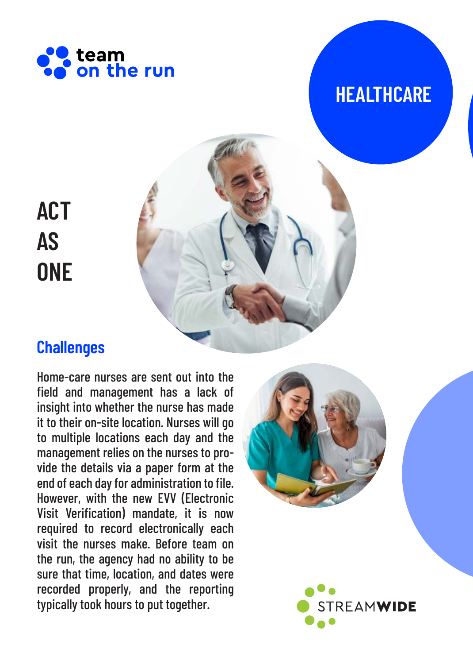

## **HEALTHCARE**

# **ACT AS ONE**



## **Challenges**

Home-care nurses are sent out into the field and management has a lack of insight into whether the nurse has made it to their on-site location. Nurses will go to multiple locations each day and the management relies on the nurses to provide the details via a paper form at the end of each day for administration to file. However, with the new EVV (Electronic Visit Verification) mandate, it is now required to record electronically each visit the nurses make. Before team on the run, the agency had no ability to be sure that time, location, and dates were recorded properly, and the reporting typically took hours to put together.